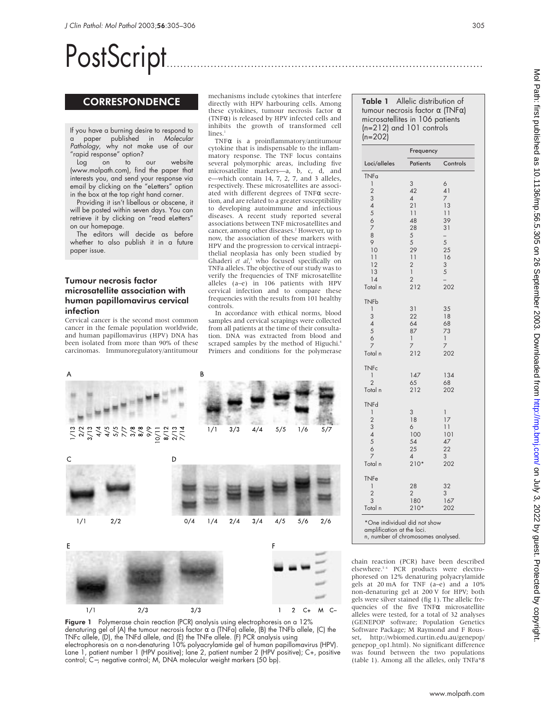# PostScript..............................................................................................

## **CORRESPONDENCE**

If you have a burning desire to respond to a paper published in Molecular Pathology, why not make use of our "rapid response" option?

Log on to our website (www.molpath.com), find the paper that interests you, and send your response via email by clicking on the "eLetters" option in the box at the top right hand corner.

Providing it isn't libellous or obscene, it will be posted within seven days. You can retrieve it by clicking on "read eLetters" on our homepage.

The editors will decide as before whether to also publish it in a future paper issue.

## Tumour necrosis factor microsatellite association with human papillomavirus cervical infection

Cervical cancer is the second most common cancer in the female population worldwide, and human papillomavirus (HPV) DNA has been isolated from more than 90% of these carcinomas. Immunoregulatory/antitumour mechanisms include cytokines that interfere directly with HPV harbouring cells. Among these cytokines, tumour necrosis factor α (TNFα) is released by HPV infected cells and inhibits the growth of transformed cell lines.

TNFα is a proinflammatory/antitumour cytokine that is indispensable to the inflammatory response. The TNF locus contains several polymorphic areas, including five microsatellite markers—a, b, c, d, and e—which contain 14, 7, 2, 7, and 3 alleles, respectively. These microsatellites are associated with different degrees of TNFα secretion, and are related to a greater susceptibility to developing autoimmune and infectious diseases. A recent study reported several associations between TNF microsatellites and cancer, among other diseases.<sup>2</sup> However, up to now, the association of these markers with HPV and the progression to cervical intraepithelial neoplasia has only been studied by Ghaderi *et al*, <sup>3</sup> who focused specifically on TNFa alleles. The objective of our study was to verify the frequencies of TNF microsatellite alleles (a–e) in 106 patients with HPV cervical infection and to compare these frequencies with the results from 101 healthy controls.

In accordance with ethical norms, blood samples and cervical scrapings were collected from all patients at the time of their consultation. DNA was extracted from blood and scraped samples by the method of Higuchi.<sup>4</sup> Primers and conditions for the polymerase



Figure 1 Polymerase chain reaction (PCR) analysis using electrophoresis on a 12% denaturing gel of (A) the tumour necrosis factor  $\alpha$  a (TNFa) allele, (B) the TNFb allele, (C) the TNFc allele, (D), the TNFd allele, and (E) the TNFe allele. (F) PCR analysis using electrophoresis on a non-denaturing 10% polyacrylamide gel of human papillomavirus (HPV). Lane 1, patient number 1 (HPV positive); lane 2, patient number 2 (HPV positive); C+, positive control; C−, negative control; M, DNA molecular weight markers (50 bp).

Table 1 Allelic distribution of tumour necrosis factor α (TNFα) microsatellites in 106 patients (n=212) and 101 controls (n=202)

| Loci/alleles                   | Frequency             |                      |
|--------------------------------|-----------------------|----------------------|
|                                | Patients              | Controls             |
| <b>TNFa</b>                    |                       |                      |
| 1                              | 3                     | 6                    |
| $\overline{2}$                 | 42                    | 41                   |
| 3                              | $\overline{4}$<br>21  | $\overline{7}$<br>13 |
| 4567                           | 11                    | 11                   |
|                                | 48                    | 39                   |
|                                | 28                    | 31                   |
| 8                              | 5                     | $\overline{a}$       |
| 9                              | 5                     | 5                    |
| 10<br>11                       | 29<br>11              | 25<br>16             |
| 12                             | $\overline{2}$        | 3                    |
| 13                             | $\mathbf{1}$          | 5                    |
| 14                             | $\overline{2}$        |                      |
| Total n                        | 212                   | 202                  |
| <b>TNFb</b>                    |                       |                      |
| 1                              | 31                    | 35                   |
| 3                              | 22<br>64              | 18<br>68             |
| $\frac{4}{5}$                  | 87                    | 73                   |
| 6                              | $\mathbf{1}$          | $\mathbf{I}$         |
| $\overline{7}$                 | 7                     | 7                    |
| Total n                        | 212                   | 202                  |
| <b>TNFc</b>                    |                       |                      |
| 1                              | 147                   | 134                  |
| $\overline{2}$                 | 65                    | 68                   |
| Total n                        | 212                   | 202                  |
| <b>TNFd</b>                    |                       |                      |
| $\mathbf{I}$<br>$\overline{2}$ | $\overline{3}$<br>18  | 1<br>17              |
| 3                              | 6                     | 11                   |
| $\overline{4}$                 | 100                   | 101                  |
| 5                              | 54                    | 47                   |
| 6                              | 25                    | 22                   |
| 7                              | $\overline{4}$        | 3                    |
| Total n                        | $210*$                | 202                  |
| <b>TNFe</b>                    |                       |                      |
| 1                              | 28                    | 32                   |
| $\overline{c}$<br>3            | $\overline{2}$<br>180 | 3                    |
| Total n                        | $210*$                | 167<br>202           |
|                                |                       |                      |

amplification at the loci.

n, number of chromosomes analysed.

chain reaction (PCR) have been described elsewhere.<sup>5 6</sup> PCR products were electrophoresed on 12% denaturing polyacrylamide gels at 20 mA for TNF (a–e) and a 10% non-denaturing gel at 200 V for HPV; both gels were silver stained (fig 1). The allelic frequencies of the five  $TNF\alpha$  microsatellite alleles were tested, for a total of 32 analyses (GENEPOP software; Population Genetics Software Package; M Raymond and F Rousset, http://wbiomed.curtin.edu.au/genepop/ genepop\_op1.html). No significant difference was found between the two populations (table 1). Among all the alleles, only TNFa\*8